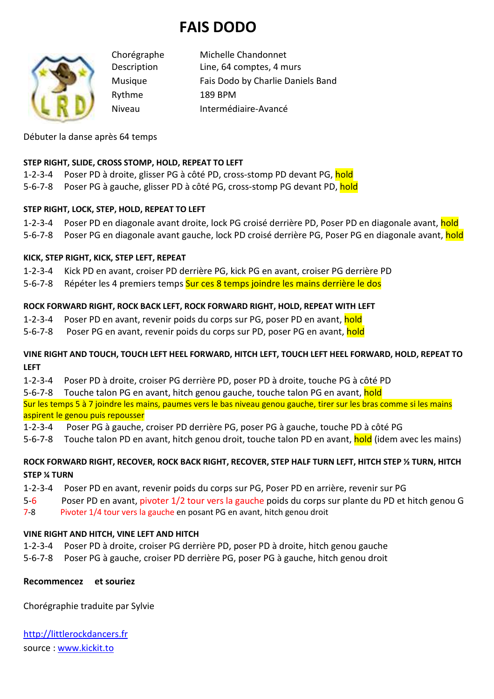# **FAIS DODO**



Chorégraphe Michelle Chandonnet Description Line, 64 comptes, 4 murs Musique Fais Dodo by Charlie Daniels Band Rythme 189 BPM Niveau Intermédiaire-Avancé

Débuter la danse après 64 temps

#### **STEP RIGHT, SLIDE, CROSS STOMP, HOLD, REPEAT TO LEFT**

1-2-3-4 Poser PD à droite, glisser PG à côté PD, cross-stomp PD devant PG, hold

5-6-7-8 Poser PG à gauche, glisser PD à côté PG, cross-stomp PG devant PD, **hold** 

#### **STEP RIGHT, LOCK, STEP, HOLD, REPEAT TO LEFT**

1-2-3-4 Poser PD en diagonale avant droite, lock PG croisé derrière PD, Poser PD en diagonale avant, hold

5-6-7-8 Poser PG en diagonale avant gauche, lock PD croisé derrière PG, Poser PG en diagonale avant, hold

#### **KICK, STEP RIGHT, KICK, STEP LEFT, REPEAT**

1-2-3-4 Kick PD en avant, croiser PD derrière PG, kick PG en avant, croiser PG derrière PD

5-6-7-8 Répéter les 4 premiers temps **Sur ces 8 temps joindre les mains derrière le dos** 

#### **ROCK FORWARD RIGHT, ROCK BACK LEFT, ROCK FORWARD RIGHT, HOLD, REPEAT WITH LEFT**

1-2-3-4 Poser PD en avant, revenir poids du corps sur PG, poser PD en avant, hold

5-6-7-8 Poser PG en avant, revenir poids du corps sur PD, poser PG en avant, hold

#### **VINE RIGHT AND TOUCH, TOUCH LEFT HEEL FORWARD, HITCH LEFT, TOUCH LEFT HEEL FORWARD, HOLD, REPEAT TO LEFT**

1-2-3-4 Poser PD à droite, croiser PG derrière PD, poser PD à droite, touche PG à côté PD

5-6-7-8 Touche talon PG en avant, hitch genou gauche, touche talon PG en avant, hold

Sur les temps 5 à 7 joindre les mains, paumes vers le bas niveau genou gauche, tirer sur les bras comme si les mains aspirent le genou puis repousser

1-2-3-4 Poser PG à gauche, croiser PD derrière PG, poser PG à gauche, touche PD à côté PG

5-6-7-8 Touche talon PD en avant, hitch genou droit, touche talon PD en avant, hold (idem avec les mains)

### **ROCK FORWARD RIGHT, RECOVER, ROCK BACK RIGHT, RECOVER, STEP HALF TURN LEFT, HITCH STEP ½ TURN, HITCH STEP ¼ TURN**

- 1-2-3-4 Poser PD en avant, revenir poids du corps sur PG, Poser PD en arrière, revenir sur PG
- 5-6 Poser PD en avant, pivoter 1/2 tour vers la gauche poids du corps sur plante du PD et hitch genou G
- 7-8 Pivoter 1/4 tour vers la gauche en posant PG en avant, hitch genou droit

## **VINE RIGHT AND HITCH, VINE LEFT AND HITCH**

1-2-3-4 Poser PD à droite, croiser PG derrière PD, poser PD à droite, hitch genou gauche

5-6-7-8 Poser PG à gauche, croiser PD derrière PG, poser PG à gauche, hitch genou droit

## **Recommencez et souriez**

Chorégraphie traduite par Sylvie

http://littlerockdancers.fr source : www.kickit.to